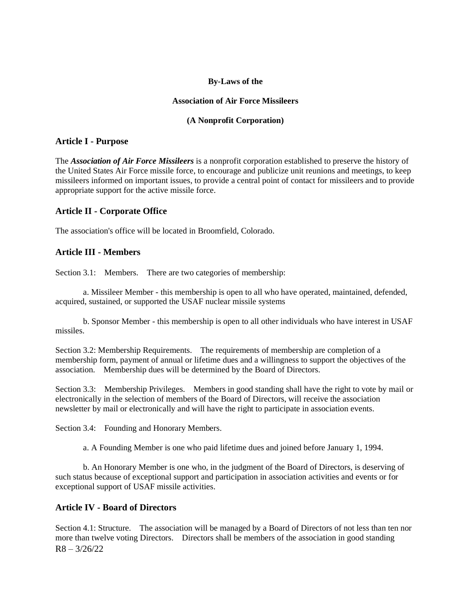#### **By-Laws of the**

#### **Association of Air Force Missileers**

#### **(A Nonprofit Corporation)**

### **Article I - Purpose**

The *Association of Air Force Missileers* is a nonprofit corporation established to preserve the history of the United States Air Force missile force, to encourage and publicize unit reunions and meetings, to keep missileers informed on important issues, to provide a central point of contact for missileers and to provide appropriate support for the active missile force.

### **Article II - Corporate Office**

The association's office will be located in Broomfield, Colorado.

### **Article III - Members**

Section 3.1: Members. There are two categories of membership:

a. Missileer Member - this membership is open to all who have operated, maintained, defended, acquired, sustained, or supported the USAF nuclear missile systems

b. Sponsor Member - this membership is open to all other individuals who have interest in USAF missiles.

Section 3.2: Membership Requirements. The requirements of membership are completion of a membership form, payment of annual or lifetime dues and a willingness to support the objectives of the association. Membership dues will be determined by the Board of Directors.

Section 3.3: Membership Privileges. Members in good standing shall have the right to vote by mail or electronically in the selection of members of the Board of Directors, will receive the association newsletter by mail or electronically and will have the right to participate in association events.

Section 3.4: Founding and Honorary Members.

a. A Founding Member is one who paid lifetime dues and joined before January 1, 1994.

b. An Honorary Member is one who, in the judgment of the Board of Directors, is deserving of such status because of exceptional support and participation in association activities and events or for exceptional support of USAF missile activities.

### **Article IV - Board of Directors**

 $R8 - 3/26/22$ Section 4.1: Structure. The association will be managed by a Board of Directors of not less than ten nor more than twelve voting Directors. Directors shall be members of the association in good standing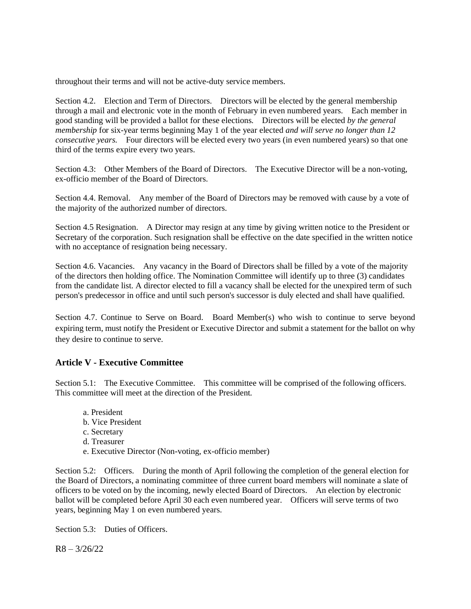throughout their terms and will not be active-duty service members.

Section 4.2. Election and Term of Directors. Directors will be elected by the general membership through a mail and electronic vote in the month of February in even numbered years. Each member in good standing will be provided a ballot for these elections. Directors will be elected *by the general membership* for six-year terms beginning May 1 of the year elected *and will serve no longer than 12 consecutive years.* Four directors will be elected every two years (in even numbered years) so that one third of the terms expire every two years.

Section 4.3: Other Members of the Board of Directors. The Executive Director will be a non-voting, ex-officio member of the Board of Directors.

Section 4.4. Removal. Any member of the Board of Directors may be removed with cause by a vote of the majority of the authorized number of directors.

Section 4.5 Resignation. A Director may resign at any time by giving written notice to the President or Secretary of the corporation. Such resignation shall be effective on the date specified in the written notice with no acceptance of resignation being necessary.

Section 4.6. Vacancies. Any vacancy in the Board of Directors shall be filled by a vote of the majority of the directors then holding office. The Nomination Committee will identify up to three (3) candidates from the candidate list. A director elected to fill a vacancy shall be elected for the unexpired term of such person's predecessor in office and until such person's successor is duly elected and shall have qualified.

Section 4.7. Continue to Serve on Board. Board Member(s) who wish to continue to serve beyond expiring term, must notify the President or Executive Director and submit a statement for the ballot on why they desire to continue to serve.

# **Article V - Executive Committee**

Section 5.1: The Executive Committee. This committee will be comprised of the following officers. This committee will meet at the direction of the President.

- a. President b. Vice President
- c. Secretary
- d. Treasurer
- e. Executive Director (Non-voting, ex-officio member)

Section 5.2: Officers. During the month of April following the completion of the general election for the Board of Directors, a nominating committee of three current board members will nominate a slate of officers to be voted on by the incoming, newly elected Board of Directors. An election by electronic ballot will be completed before April 30 each even numbered year. Officers will serve terms of two years, beginning May 1 on even numbered years.

Section 5.3: Duties of Officers.

 $R8 - 3/26/22$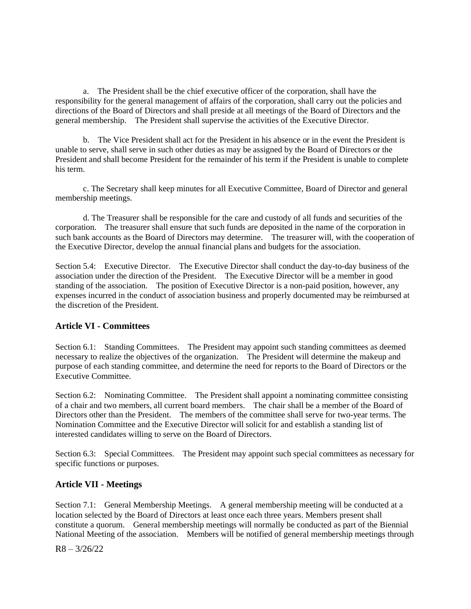a. The President shall be the chief executive officer of the corporation, shall have the responsibility for the general management of affairs of the corporation, shall carry out the policies and directions of the Board of Directors and shall preside at all meetings of the Board of Directors and the general membership. The President shall supervise the activities of the Executive Director.

b. The Vice President shall act for the President in his absence or in the event the President is unable to serve, shall serve in such other duties as may be assigned by the Board of Directors or the President and shall become President for the remainder of his term if the President is unable to complete his term.

c. The Secretary shall keep minutes for all Executive Committee, Board of Director and general membership meetings.

d. The Treasurer shall be responsible for the care and custody of all funds and securities of the corporation. The treasurer shall ensure that such funds are deposited in the name of the corporation in such bank accounts as the Board of Directors may determine. The treasurer will, with the cooperation of the Executive Director, develop the annual financial plans and budgets for the association.

Section 5.4: Executive Director. The Executive Director shall conduct the day-to-day business of the association under the direction of the President. The Executive Director will be a member in good standing of the association. The position of Executive Director is a non-paid position, however, any expenses incurred in the conduct of association business and properly documented may be reimbursed at the discretion of the President.

# **Article VI - Committees**

Section 6.1: Standing Committees. The President may appoint such standing committees as deemed necessary to realize the objectives of the organization. The President will determine the makeup and purpose of each standing committee, and determine the need for reports to the Board of Directors or the Executive Committee.

Section 6.2: Nominating Committee. The President shall appoint a nominating committee consisting of a chair and two members, all current board members. The chair shall be a member of the Board of Directors other than the President. The members of the committee shall serve for two-year terms. The Nomination Committee and the Executive Director will solicit for and establish a standing list of interested candidates willing to serve on the Board of Directors.

Section 6.3: Special Committees. The President may appoint such special committees as necessary for specific functions or purposes.

# **Article VII - Meetings**

Section 7.1: General Membership Meetings. A general membership meeting will be conducted at a location selected by the Board of Directors at least once each three years. Members present shall constitute a quorum. General membership meetings will normally be conducted as part of the Biennial National Meeting of the association. Members will be notified of general membership meetings through

 $R8 - 3/26/22$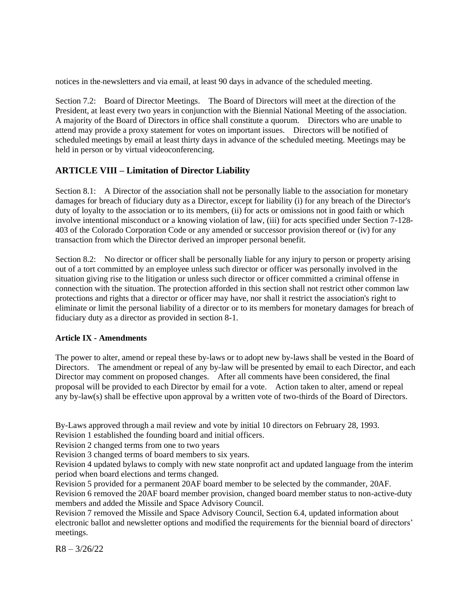notices in the newsletters and via email, at least 90 days in advance of the scheduled meeting.

Section 7.2: Board of Director Meetings. The Board of Directors will meet at the direction of the President, at least every two years in conjunction with the Biennial National Meeting of the association. A majority of the Board of Directors in office shall constitute a quorum. Directors who are unable to attend may provide a proxy statement for votes on important issues. Directors will be notified of scheduled meetings by email at least thirty days in advance of the scheduled meeting. Meetings may be held in person or by virtual videoconferencing.

# **ARTICLE VIII – Limitation of Director Liability**

Section 8.1: A Director of the association shall not be personally liable to the association for monetary damages for breach of fiduciary duty as a Director, except for liability (i) for any breach of the Director's duty of loyalty to the association or to its members, (ii) for acts or omissions not in good faith or which involve intentional misconduct or a knowing violation of law, (iii) for acts specified under Section 7-128- 403 of the Colorado Corporation Code or any amended or successor provision thereof or (iv) for any transaction from which the Director derived an improper personal benefit.

Section 8.2: No director or officer shall be personally liable for any injury to person or property arising out of a tort committed by an employee unless such director or officer was personally involved in the situation giving rise to the litigation or unless such director or officer committed a criminal offense in connection with the situation. The protection afforded in this section shall not restrict other common law protections and rights that a director or officer may have, nor shall it restrict the association's right to eliminate or limit the personal liability of a director or to its members for monetary damages for breach of fiduciary duty as a director as provided in section 8-1.

#### **Article IX - Amendments**

The power to alter, amend or repeal these by-laws or to adopt new by-laws shall be vested in the Board of Directors. The amendment or repeal of any by-law will be presented by email to each Director, and each Director may comment on proposed changes. After all comments have been considered, the final proposal will be provided to each Director by email for a vote. Action taken to alter, amend or repeal any by-law(s) shall be effective upon approval by a written vote of two-thirds of the Board of Directors.

By-Laws approved through a mail review and vote by initial 10 directors on February 28, 1993.

Revision 1 established the founding board and initial officers.

Revision 2 changed terms from one to two years

Revision 3 changed terms of board members to six years.

Revision 4 updated bylaws to comply with new state nonprofit act and updated language from the interim period when board elections and terms changed.

Revision 5 provided for a permanent 20AF board member to be selected by the commander, 20AF.

Revision 6 removed the 20AF board member provision, changed board member status to non-active-duty members and added the Missile and Space Advisory Council.

Revision 7 removed the Missile and Space Advisory Council, Section 6.4, updated information about electronic ballot and newsletter options and modified the requirements for the biennial board of directors' meetings.

 $R8 - 3/26/22$